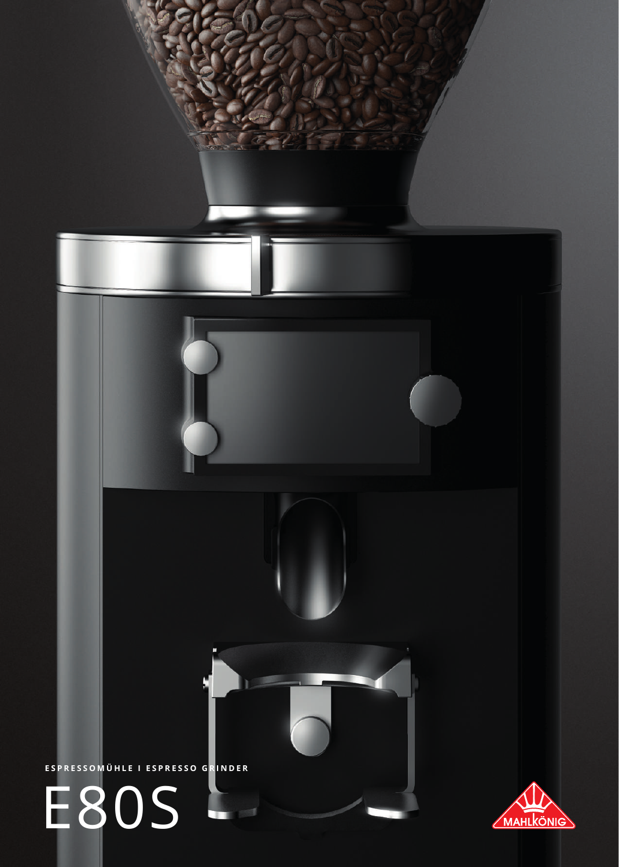